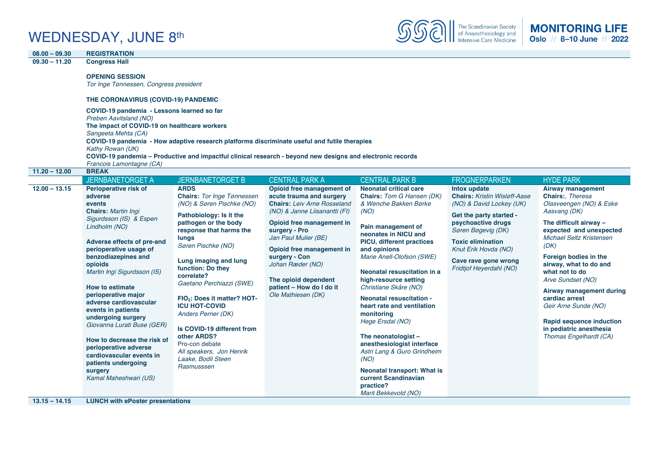### WEDNESDAY, JUNE 8th



| $08.00 - 09.30$ | <b>REGISTRATION</b>                                                                                                                                                                                                                                                                                                                                                                                                                                                                             |                                                                                                                                                                                                                                                                                                                                                                                                                                                                                             |                                                                                                                                                                                                                                                                                                                   |                                                                                                                                                                                                                                                                                                                                                                                                                                                                                                                                                |                                                                                                                                                                                                                                               |                                                                                                                                                                                                                                                                                                                                                                                                              |
|-----------------|-------------------------------------------------------------------------------------------------------------------------------------------------------------------------------------------------------------------------------------------------------------------------------------------------------------------------------------------------------------------------------------------------------------------------------------------------------------------------------------------------|---------------------------------------------------------------------------------------------------------------------------------------------------------------------------------------------------------------------------------------------------------------------------------------------------------------------------------------------------------------------------------------------------------------------------------------------------------------------------------------------|-------------------------------------------------------------------------------------------------------------------------------------------------------------------------------------------------------------------------------------------------------------------------------------------------------------------|------------------------------------------------------------------------------------------------------------------------------------------------------------------------------------------------------------------------------------------------------------------------------------------------------------------------------------------------------------------------------------------------------------------------------------------------------------------------------------------------------------------------------------------------|-----------------------------------------------------------------------------------------------------------------------------------------------------------------------------------------------------------------------------------------------|--------------------------------------------------------------------------------------------------------------------------------------------------------------------------------------------------------------------------------------------------------------------------------------------------------------------------------------------------------------------------------------------------------------|
| $09.30 - 11.20$ | <b>Congress Hall</b>                                                                                                                                                                                                                                                                                                                                                                                                                                                                            |                                                                                                                                                                                                                                                                                                                                                                                                                                                                                             |                                                                                                                                                                                                                                                                                                                   |                                                                                                                                                                                                                                                                                                                                                                                                                                                                                                                                                |                                                                                                                                                                                                                                               |                                                                                                                                                                                                                                                                                                                                                                                                              |
|                 | <b>OPENING SESSION</b><br>Tor Inge Tønnessen, Congress president<br>THE CORONAVIRUS (COVID-19) PANDEMIC<br>COVID-19 pandemia - Lessons learned so far                                                                                                                                                                                                                                                                                                                                           |                                                                                                                                                                                                                                                                                                                                                                                                                                                                                             |                                                                                                                                                                                                                                                                                                                   |                                                                                                                                                                                                                                                                                                                                                                                                                                                                                                                                                |                                                                                                                                                                                                                                               |                                                                                                                                                                                                                                                                                                                                                                                                              |
|                 | Preben Aavitsland (NO)                                                                                                                                                                                                                                                                                                                                                                                                                                                                          |                                                                                                                                                                                                                                                                                                                                                                                                                                                                                             |                                                                                                                                                                                                                                                                                                                   |                                                                                                                                                                                                                                                                                                                                                                                                                                                                                                                                                |                                                                                                                                                                                                                                               |                                                                                                                                                                                                                                                                                                                                                                                                              |
|                 | The impact of COVID-19 on healthcare workers<br>Sangeeta Mehta (CA)                                                                                                                                                                                                                                                                                                                                                                                                                             |                                                                                                                                                                                                                                                                                                                                                                                                                                                                                             |                                                                                                                                                                                                                                                                                                                   |                                                                                                                                                                                                                                                                                                                                                                                                                                                                                                                                                |                                                                                                                                                                                                                                               |                                                                                                                                                                                                                                                                                                                                                                                                              |
|                 |                                                                                                                                                                                                                                                                                                                                                                                                                                                                                                 | COVID-19 pandemia - How adaptive research platforms discriminate useful and futile therapies                                                                                                                                                                                                                                                                                                                                                                                                |                                                                                                                                                                                                                                                                                                                   |                                                                                                                                                                                                                                                                                                                                                                                                                                                                                                                                                |                                                                                                                                                                                                                                               |                                                                                                                                                                                                                                                                                                                                                                                                              |
|                 | Kathy Rowan (UK)                                                                                                                                                                                                                                                                                                                                                                                                                                                                                |                                                                                                                                                                                                                                                                                                                                                                                                                                                                                             |                                                                                                                                                                                                                                                                                                                   |                                                                                                                                                                                                                                                                                                                                                                                                                                                                                                                                                |                                                                                                                                                                                                                                               |                                                                                                                                                                                                                                                                                                                                                                                                              |
|                 |                                                                                                                                                                                                                                                                                                                                                                                                                                                                                                 | COVID-19 pandemia - Productive and impactful clinical research - beyond new designs and electronic records                                                                                                                                                                                                                                                                                                                                                                                  |                                                                                                                                                                                                                                                                                                                   |                                                                                                                                                                                                                                                                                                                                                                                                                                                                                                                                                |                                                                                                                                                                                                                                               |                                                                                                                                                                                                                                                                                                                                                                                                              |
| $11.20 - 12.00$ | Francois Lamontagne (CA)<br><b>BREAK</b>                                                                                                                                                                                                                                                                                                                                                                                                                                                        |                                                                                                                                                                                                                                                                                                                                                                                                                                                                                             |                                                                                                                                                                                                                                                                                                                   |                                                                                                                                                                                                                                                                                                                                                                                                                                                                                                                                                |                                                                                                                                                                                                                                               |                                                                                                                                                                                                                                                                                                                                                                                                              |
|                 | <b>JERNBANETORGET A</b>                                                                                                                                                                                                                                                                                                                                                                                                                                                                         | <b>JERNBANETORGET B</b>                                                                                                                                                                                                                                                                                                                                                                                                                                                                     | <b>CENTRAL PARK A</b>                                                                                                                                                                                                                                                                                             | <b>CENTRAL PARK B</b>                                                                                                                                                                                                                                                                                                                                                                                                                                                                                                                          | <b>FROGNERPARKEN</b>                                                                                                                                                                                                                          | <b>HYDE PARK</b>                                                                                                                                                                                                                                                                                                                                                                                             |
| $12.00 - 13.15$ | Perioperative risk of                                                                                                                                                                                                                                                                                                                                                                                                                                                                           | <b>ARDS</b>                                                                                                                                                                                                                                                                                                                                                                                                                                                                                 | Opioid free management of                                                                                                                                                                                                                                                                                         | <b>Neonatal critical care</b>                                                                                                                                                                                                                                                                                                                                                                                                                                                                                                                  | Intox update                                                                                                                                                                                                                                  | <b>Airway management</b>                                                                                                                                                                                                                                                                                                                                                                                     |
|                 | adverse<br>events<br><b>Chairs: Martin Ingi</b><br>Sigurdsson (IS) & Espen<br>Lindholm (NO)<br>Adverse effects of pre-and<br>perioperative usage of<br>benzodiazepines and<br>opioids<br>Martin Ingi Sigurdsson (IS)<br><b>How to estimate</b><br>perioperative major<br>adverse cardiovascular<br>events in patients<br>undergoing surgery<br>Giovanna Lurati Buse (GER)<br>How to decrease the risk of<br>perioperative adverse<br>cardiovascular events in<br>patients undergoing<br>surgery | <b>Chairs: Tor Inge Tønnessen</b><br>(NO) & Søren Pischke (NO)<br>Pathobiology: Is it the<br>pathogen or the body<br>response that harms the<br>lungs<br>Søren Pischke (NO)<br>Lung imaging and lung<br>function: Do they<br>correlate?<br>Gaetano Perchiazzi (SWE)<br>FIO <sub>2</sub> : Does it matter? HOT-<br><b>ICU HOT-COVID</b><br>Anders Perner (DK)<br>Is COVID-19 different from<br>other ARDS?<br>Pro-con debate<br>All speakers, Jon Henrik<br>Laake, Bodil Steen<br>Rasmusssen | acute trauma and surgery<br><b>Chairs: Leiv Arne Rosseland</b><br>(NO) & Janne Liisanantti (FI)<br>Opioid free management in<br>surgery - Pro<br>Jan Paul Mulier (BE)<br>Opioid free management in<br>surgery - Con<br>Johan Ræder (NO)<br>The opioid dependent<br>patient - How do I do it<br>Ole Mathiesen (DK) | <b>Chairs:</b> Tom G Hansen (DK)<br>& Wenche Bakken Børke<br>(NO)<br>Pain management of<br>neonates in NICU and<br><b>PICU, different practices</b><br>and opinions<br>Marie Anell-Olofson (SWE)<br>Neonatal resuscitation in a<br>high-resource setting<br>Christiane Skåre (NO)<br><b>Neonatal resuscitation -</b><br>heart rate and ventilation<br>monitoring<br>Hege Ersdal (NO)<br>The neonatologist -<br>anesthesiologist interface<br>Astri Lang & Guro Grindheim<br>(NO)<br><b>Neonatal transport: What is</b><br>current Scandinavian | <b>Chairs: Kristin Wisløff-Aase</b><br>(NO) & David Lockey (UK)<br>Get the party started -<br>psychoactive drugs<br>Søren Bøgevig (DK)<br><b>Toxic elimination</b><br>Knut Erik Hovda (NO)<br>Cave rave gone wrong<br>Fridtjof Heyerdahl (NO) | Chairs:, Theresa<br>Olasveengen (NO) & Eske<br>Aasvang (DK)<br>The difficult airway -<br>expected and unexpected<br>Michael Seltz Kristensen<br>(DK)<br>Foreign bodies in the<br>airway, what to do and<br>what not to do<br>Arve Sundset (NO)<br><b>Airway management during</b><br>cardiac arrest<br>Geir Arne Sunde (NO)<br>Rapid sequence induction<br>in pediatric anesthesia<br>Thomas Engelhardt (CA) |

*Marit Bekkevold (NO)*

**13.15 – 14.15 LUNCH with ePoster presentations**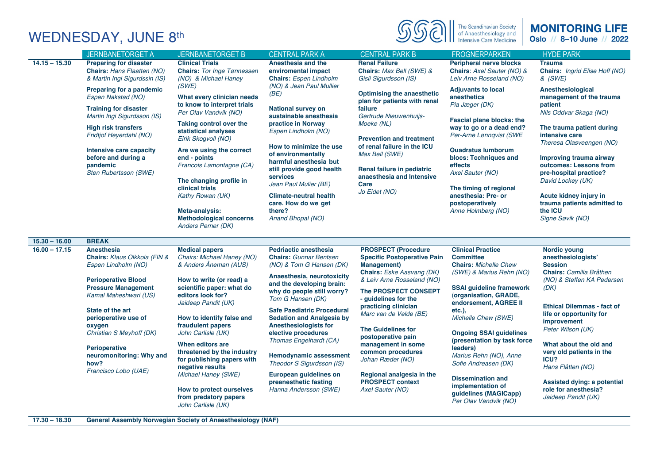# WEDNESDAY, JUNE 8th



#### **MONITORING LIFE** Oslo // 8-10 June // 2022

| $14.15 - 15.30$<br><b>Preparing for disaster</b><br><b>Clinical Trials</b><br>Anesthesia and the<br><b>Renal Failure</b><br><b>Peripheral nerve blocks</b><br><b>Trauma</b><br>Chairs: Hans Flaatten (NO)<br>Chairs: Max Bell (SWE) &<br><b>Chairs:</b> Tor Inge Tønnessen<br>enviromental impact<br>Chairs: Axel Sauter (NO) &<br>& Martin Ingi Sigurdssin (IS)<br>(NO) & Michael Haney<br><b>Chairs:</b> Espen Lindholm<br>Gisli Sigurdsson (IS)<br>Leiv Arne Rosseland (NO)<br>& (SWE)<br>(NO) & Jean Paul Mullier<br>(SWE)<br>Preparing for a pandemic<br><b>Adjuvants to local</b><br>Anesthesiological<br>(BE)<br><b>Optimising the anaesthetic</b><br>Espen Nakstad (NO)<br>What every clinician needs<br><b>anesthetics</b><br>management of the trauma<br>plan for patients with renal<br>to know to interpret trials<br>Pia Jæger (DK)<br>patient<br>National survey on<br><b>Training for disaster</b><br>failure<br>Per Olav Vandvik (NO)<br>Nils Oddvar Skaga (NO)<br>Martin Ingi Sigurdsson (IS)<br>sustainable anesthesia<br>Gertrude Nieuwenhuijs-<br><b>Fascial plane blocks: the</b><br>Taking control over the<br>practice in Norway<br>Moeke (NL)<br><b>High risk transfers</b><br>way to go or a dead end?<br>The trauma patient during<br>statistical analyses<br>Espen Lindholm (NO)<br>Fridtjof Heyerdahl (NO)<br>Per-Arne Lønnqvist (SWE<br>intensive care<br>Eirik Skogvoll (NO)<br><b>Prevention and treatment</b><br>Theresa Olasveengen (NO)<br>How to minimize the use<br>of renal failure in the ICU<br>Are we using the correct<br><b>Quadratus lumborum</b><br>Intensive care capacity<br>of environmentally<br>Max Bell (SWE)<br>before and during a<br>end - points<br>blocs: Tcchniques and<br>Improving trauma airway<br>harmful anesthesia but<br>Francois Lamontagne (CA)<br>outcomes: Lessons from<br>pandemic<br>effects<br>still provide good health<br>Renal failure in pediatric<br>Axel Sauter (NO)<br>pre-hospital practice?<br>Sten Rubertsson (SWE)<br>services<br>anaesthesia and Intensive<br>The changing profile in<br>David Lockey (UK)<br>Jean Paul Mulier (BE)<br>Care<br>clinical trials<br>The timing of regional<br>Jo Eidet (NO)<br>Kathy Rowan (UK)<br><b>Climate-neutral health</b><br>anesthesia: Pre- or<br>Acute kidney injury in<br>trauma patients admitted to<br>care. How do we get<br>postoperatively<br>the ICU<br>there?<br>Anne Holmberg (NO)<br>Meta-analysis:<br><b>Methodological concerns</b><br>Signe Søvik (NO)<br>Anand Bhopal (NO)<br><b>Anders Perner (DK)</b><br>$15.30 - 16.00$<br><b>BREAK</b><br>$16.00 - 17.15$<br>Anesthesia<br><b>Medical papers</b><br><b>Pedriactic anesthesia</b><br><b>PROSPECT (Procedure</b><br><b>Clinical Practice</b><br>Nordic young<br>Chairs: Klaus Olkkola (FIN &<br>Chairs: Michael Haney (NO)<br><b>Chairs: Gunnar Bentsen</b><br><b>Specific Postoperative Pain</b><br><b>Committee</b><br>anesthesiologists'<br>& Anders Åneman (AUS)<br>Espen Lindholm (NO)<br>(NO) & Tom G Hansen (DK)<br><b>Management</b> )<br><b>Chairs: Michelle Chew</b><br>Session<br><b>Chairs: Camilla Bråthen</b><br>Chairs: Eske Aasvang (DK)<br>(SWE) & Marius Rehn (NO)<br>Anaesthesia, neurotoxicity<br>& Leiv Arne Rosseland (NO)<br><b>Perioperative Blood</b><br>How to write (or read) a<br>(NO) & Steffen KA Pedersen<br>and the developing brain:<br><b>Pressure Management</b><br>scientific paper: what do<br><b>SSAI quideline framework</b><br>(DK)<br>The PROSPECT CONSEPT<br>why do people still worry?<br>Kamal Maheshwari (US)<br>editors look for?<br>(organisation, GRADE,<br>Tom G Hansen (DK)<br>- quidelines for the<br>Jaideep Pandit (UK)<br>endorsement, AGREE II<br><b>Ethical Dilemmas - fact of</b><br>practicing clinician<br>State of the art<br><b>Safe Paediatric Procedural</b><br>$etc.$ ),<br>Marc van de Velde (BE)<br>life or opportunity for<br>Michelle Chew (SWE)<br>perioperative use of<br>How to identify false and<br><b>Sedation and Analgesia by</b><br>improvement<br>fraudulent papers<br><b>Anesthesiologists for</b><br>oxygen<br>Peter Wilson (UK)<br><b>The Guidelines for</b><br>Christian S Meyhoff (DK)<br>John Carlisle (UK)<br>elective procedures<br><b>Ongoing SSAI guidelines</b><br>postoperative pain<br>Thomas Engelhardt (CA)<br>(presentation by task force<br>When editors are<br>management in some<br>What about the old and<br><b>Perioperative</b><br>leaders)<br>threatened by the industry<br>common procedures<br>very old patients in the<br><b>Hemodynamic assessment</b><br>Marius Rehn (NO), Anne<br>neuromonitoring: Why and<br>ICU?<br>for publishing papers with<br>Johan Ræder (NO)<br>how?<br>Theodor S Sigurdsson (IS)<br>Sofie Andreasen (DK)<br>negative results<br>Hans Flåtten (NO)<br>Francisco Lobo (UAE)<br>European guidelines on<br><b>Michael Haney (SWE)</b><br>Regional analgesia in the<br><b>Dissemination and</b><br>preanesthetic fasting<br><b>PROSPECT context</b><br><b>Assisted dying: a potential</b><br>implementation of<br>How to protect ourselves<br>Hanna Andersson (SWE)<br>Axel Sauter (NO)<br>role for anesthesia?<br>guidelines (MAGICapp)<br>from predatory papers<br>Jaideep Pandit (UK)<br>Per Olav Vandvik (NO)<br>John Carlisle (UK)<br>$17.30 - 18.30$<br><b>General Assembly Norwegian Society of Anaesthesiology (NAF)</b> |  | <b>JERNBANETORGET A</b> | <b>JERNBANETORGET B</b> | <b>CENTRAL PARK A</b> | <b>CENTRAL PARK B</b> | <b>FROGNERPARKEN</b> | <b>HYDE PARK</b>                      |
|-----------------------------------------------------------------------------------------------------------------------------------------------------------------------------------------------------------------------------------------------------------------------------------------------------------------------------------------------------------------------------------------------------------------------------------------------------------------------------------------------------------------------------------------------------------------------------------------------------------------------------------------------------------------------------------------------------------------------------------------------------------------------------------------------------------------------------------------------------------------------------------------------------------------------------------------------------------------------------------------------------------------------------------------------------------------------------------------------------------------------------------------------------------------------------------------------------------------------------------------------------------------------------------------------------------------------------------------------------------------------------------------------------------------------------------------------------------------------------------------------------------------------------------------------------------------------------------------------------------------------------------------------------------------------------------------------------------------------------------------------------------------------------------------------------------------------------------------------------------------------------------------------------------------------------------------------------------------------------------------------------------------------------------------------------------------------------------------------------------------------------------------------------------------------------------------------------------------------------------------------------------------------------------------------------------------------------------------------------------------------------------------------------------------------------------------------------------------------------------------------------------------------------------------------------------------------------------------------------------------------------------------------------------------------------------------------------------------------------------------------------------------------------------------------------------------------------------------------------------------------------------------------------------------------------------------------------------------------------------------------------------------------------------------------------------------------------------------------------------------------------------------------------------------------------------------------------------------------------------------------------------------------------------------------------------------------------------------------------------------------------------------------------------------------------------------------------------------------------------------------------------------------------------------------------------------------------------------------------------------------------------------------------------------------------------------------------------------------------------------------------------------------------------------------------------------------------------------------------------------------------------------------------------------------------------------------------------------------------------------------------------------------------------------------------------------------------------------------------------------------------------------------------------------------------------------------------------------------------------------------------------------------------------------------------------------------------------------------------------------------------------------------------------------------------------------------------------------------------------------------------------------------------------------------------------------------------------------------------------------------------------------------------------------------------------------------------------------------------------------------------------------------------------------------------------------------------------------------------------------------------------------------------------------------------------------------------------------------------------------------------------------------------------------------------------------------------------------------------------------------------------------------------------------------------------------------------------------------------------------------------------------------------------------------------------------------------------------------------------|--|-------------------------|-------------------------|-----------------------|-----------------------|----------------------|---------------------------------------|
|                                                                                                                                                                                                                                                                                                                                                                                                                                                                                                                                                                                                                                                                                                                                                                                                                                                                                                                                                                                                                                                                                                                                                                                                                                                                                                                                                                                                                                                                                                                                                                                                                                                                                                                                                                                                                                                                                                                                                                                                                                                                                                                                                                                                                                                                                                                                                                                                                                                                                                                                                                                                                                                                                                                                                                                                                                                                                                                                                                                                                                                                                                                                                                                                                                                                                                                                                                                                                                                                                                                                                                                                                                                                                                                                                                                                                                                                                                                                                                                                                                                                                                                                                                                                                                                                                                                                                                                                                                                                                                                                                                                                                                                                                                                                                                                                                                                                                                                                                                                                                                                                                                                                                                                                                                                                                                                                                           |  |                         |                         |                       |                       |                      | <b>Chairs:</b> Ingrid Elise Hoff (NO) |
|                                                                                                                                                                                                                                                                                                                                                                                                                                                                                                                                                                                                                                                                                                                                                                                                                                                                                                                                                                                                                                                                                                                                                                                                                                                                                                                                                                                                                                                                                                                                                                                                                                                                                                                                                                                                                                                                                                                                                                                                                                                                                                                                                                                                                                                                                                                                                                                                                                                                                                                                                                                                                                                                                                                                                                                                                                                                                                                                                                                                                                                                                                                                                                                                                                                                                                                                                                                                                                                                                                                                                                                                                                                                                                                                                                                                                                                                                                                                                                                                                                                                                                                                                                                                                                                                                                                                                                                                                                                                                                                                                                                                                                                                                                                                                                                                                                                                                                                                                                                                                                                                                                                                                                                                                                                                                                                                                           |  |                         |                         |                       |                       |                      |                                       |
|                                                                                                                                                                                                                                                                                                                                                                                                                                                                                                                                                                                                                                                                                                                                                                                                                                                                                                                                                                                                                                                                                                                                                                                                                                                                                                                                                                                                                                                                                                                                                                                                                                                                                                                                                                                                                                                                                                                                                                                                                                                                                                                                                                                                                                                                                                                                                                                                                                                                                                                                                                                                                                                                                                                                                                                                                                                                                                                                                                                                                                                                                                                                                                                                                                                                                                                                                                                                                                                                                                                                                                                                                                                                                                                                                                                                                                                                                                                                                                                                                                                                                                                                                                                                                                                                                                                                                                                                                                                                                                                                                                                                                                                                                                                                                                                                                                                                                                                                                                                                                                                                                                                                                                                                                                                                                                                                                           |  |                         |                         |                       |                       |                      |                                       |
|                                                                                                                                                                                                                                                                                                                                                                                                                                                                                                                                                                                                                                                                                                                                                                                                                                                                                                                                                                                                                                                                                                                                                                                                                                                                                                                                                                                                                                                                                                                                                                                                                                                                                                                                                                                                                                                                                                                                                                                                                                                                                                                                                                                                                                                                                                                                                                                                                                                                                                                                                                                                                                                                                                                                                                                                                                                                                                                                                                                                                                                                                                                                                                                                                                                                                                                                                                                                                                                                                                                                                                                                                                                                                                                                                                                                                                                                                                                                                                                                                                                                                                                                                                                                                                                                                                                                                                                                                                                                                                                                                                                                                                                                                                                                                                                                                                                                                                                                                                                                                                                                                                                                                                                                                                                                                                                                                           |  |                         |                         |                       |                       |                      |                                       |
|                                                                                                                                                                                                                                                                                                                                                                                                                                                                                                                                                                                                                                                                                                                                                                                                                                                                                                                                                                                                                                                                                                                                                                                                                                                                                                                                                                                                                                                                                                                                                                                                                                                                                                                                                                                                                                                                                                                                                                                                                                                                                                                                                                                                                                                                                                                                                                                                                                                                                                                                                                                                                                                                                                                                                                                                                                                                                                                                                                                                                                                                                                                                                                                                                                                                                                                                                                                                                                                                                                                                                                                                                                                                                                                                                                                                                                                                                                                                                                                                                                                                                                                                                                                                                                                                                                                                                                                                                                                                                                                                                                                                                                                                                                                                                                                                                                                                                                                                                                                                                                                                                                                                                                                                                                                                                                                                                           |  |                         |                         |                       |                       |                      |                                       |
|                                                                                                                                                                                                                                                                                                                                                                                                                                                                                                                                                                                                                                                                                                                                                                                                                                                                                                                                                                                                                                                                                                                                                                                                                                                                                                                                                                                                                                                                                                                                                                                                                                                                                                                                                                                                                                                                                                                                                                                                                                                                                                                                                                                                                                                                                                                                                                                                                                                                                                                                                                                                                                                                                                                                                                                                                                                                                                                                                                                                                                                                                                                                                                                                                                                                                                                                                                                                                                                                                                                                                                                                                                                                                                                                                                                                                                                                                                                                                                                                                                                                                                                                                                                                                                                                                                                                                                                                                                                                                                                                                                                                                                                                                                                                                                                                                                                                                                                                                                                                                                                                                                                                                                                                                                                                                                                                                           |  |                         |                         |                       |                       |                      |                                       |
|                                                                                                                                                                                                                                                                                                                                                                                                                                                                                                                                                                                                                                                                                                                                                                                                                                                                                                                                                                                                                                                                                                                                                                                                                                                                                                                                                                                                                                                                                                                                                                                                                                                                                                                                                                                                                                                                                                                                                                                                                                                                                                                                                                                                                                                                                                                                                                                                                                                                                                                                                                                                                                                                                                                                                                                                                                                                                                                                                                                                                                                                                                                                                                                                                                                                                                                                                                                                                                                                                                                                                                                                                                                                                                                                                                                                                                                                                                                                                                                                                                                                                                                                                                                                                                                                                                                                                                                                                                                                                                                                                                                                                                                                                                                                                                                                                                                                                                                                                                                                                                                                                                                                                                                                                                                                                                                                                           |  |                         |                         |                       |                       |                      |                                       |
|                                                                                                                                                                                                                                                                                                                                                                                                                                                                                                                                                                                                                                                                                                                                                                                                                                                                                                                                                                                                                                                                                                                                                                                                                                                                                                                                                                                                                                                                                                                                                                                                                                                                                                                                                                                                                                                                                                                                                                                                                                                                                                                                                                                                                                                                                                                                                                                                                                                                                                                                                                                                                                                                                                                                                                                                                                                                                                                                                                                                                                                                                                                                                                                                                                                                                                                                                                                                                                                                                                                                                                                                                                                                                                                                                                                                                                                                                                                                                                                                                                                                                                                                                                                                                                                                                                                                                                                                                                                                                                                                                                                                                                                                                                                                                                                                                                                                                                                                                                                                                                                                                                                                                                                                                                                                                                                                                           |  |                         |                         |                       |                       |                      |                                       |
|                                                                                                                                                                                                                                                                                                                                                                                                                                                                                                                                                                                                                                                                                                                                                                                                                                                                                                                                                                                                                                                                                                                                                                                                                                                                                                                                                                                                                                                                                                                                                                                                                                                                                                                                                                                                                                                                                                                                                                                                                                                                                                                                                                                                                                                                                                                                                                                                                                                                                                                                                                                                                                                                                                                                                                                                                                                                                                                                                                                                                                                                                                                                                                                                                                                                                                                                                                                                                                                                                                                                                                                                                                                                                                                                                                                                                                                                                                                                                                                                                                                                                                                                                                                                                                                                                                                                                                                                                                                                                                                                                                                                                                                                                                                                                                                                                                                                                                                                                                                                                                                                                                                                                                                                                                                                                                                                                           |  |                         |                         |                       |                       |                      |                                       |
|                                                                                                                                                                                                                                                                                                                                                                                                                                                                                                                                                                                                                                                                                                                                                                                                                                                                                                                                                                                                                                                                                                                                                                                                                                                                                                                                                                                                                                                                                                                                                                                                                                                                                                                                                                                                                                                                                                                                                                                                                                                                                                                                                                                                                                                                                                                                                                                                                                                                                                                                                                                                                                                                                                                                                                                                                                                                                                                                                                                                                                                                                                                                                                                                                                                                                                                                                                                                                                                                                                                                                                                                                                                                                                                                                                                                                                                                                                                                                                                                                                                                                                                                                                                                                                                                                                                                                                                                                                                                                                                                                                                                                                                                                                                                                                                                                                                                                                                                                                                                                                                                                                                                                                                                                                                                                                                                                           |  |                         |                         |                       |                       |                      |                                       |
|                                                                                                                                                                                                                                                                                                                                                                                                                                                                                                                                                                                                                                                                                                                                                                                                                                                                                                                                                                                                                                                                                                                                                                                                                                                                                                                                                                                                                                                                                                                                                                                                                                                                                                                                                                                                                                                                                                                                                                                                                                                                                                                                                                                                                                                                                                                                                                                                                                                                                                                                                                                                                                                                                                                                                                                                                                                                                                                                                                                                                                                                                                                                                                                                                                                                                                                                                                                                                                                                                                                                                                                                                                                                                                                                                                                                                                                                                                                                                                                                                                                                                                                                                                                                                                                                                                                                                                                                                                                                                                                                                                                                                                                                                                                                                                                                                                                                                                                                                                                                                                                                                                                                                                                                                                                                                                                                                           |  |                         |                         |                       |                       |                      |                                       |
|                                                                                                                                                                                                                                                                                                                                                                                                                                                                                                                                                                                                                                                                                                                                                                                                                                                                                                                                                                                                                                                                                                                                                                                                                                                                                                                                                                                                                                                                                                                                                                                                                                                                                                                                                                                                                                                                                                                                                                                                                                                                                                                                                                                                                                                                                                                                                                                                                                                                                                                                                                                                                                                                                                                                                                                                                                                                                                                                                                                                                                                                                                                                                                                                                                                                                                                                                                                                                                                                                                                                                                                                                                                                                                                                                                                                                                                                                                                                                                                                                                                                                                                                                                                                                                                                                                                                                                                                                                                                                                                                                                                                                                                                                                                                                                                                                                                                                                                                                                                                                                                                                                                                                                                                                                                                                                                                                           |  |                         |                         |                       |                       |                      |                                       |
|                                                                                                                                                                                                                                                                                                                                                                                                                                                                                                                                                                                                                                                                                                                                                                                                                                                                                                                                                                                                                                                                                                                                                                                                                                                                                                                                                                                                                                                                                                                                                                                                                                                                                                                                                                                                                                                                                                                                                                                                                                                                                                                                                                                                                                                                                                                                                                                                                                                                                                                                                                                                                                                                                                                                                                                                                                                                                                                                                                                                                                                                                                                                                                                                                                                                                                                                                                                                                                                                                                                                                                                                                                                                                                                                                                                                                                                                                                                                                                                                                                                                                                                                                                                                                                                                                                                                                                                                                                                                                                                                                                                                                                                                                                                                                                                                                                                                                                                                                                                                                                                                                                                                                                                                                                                                                                                                                           |  |                         |                         |                       |                       |                      |                                       |
|                                                                                                                                                                                                                                                                                                                                                                                                                                                                                                                                                                                                                                                                                                                                                                                                                                                                                                                                                                                                                                                                                                                                                                                                                                                                                                                                                                                                                                                                                                                                                                                                                                                                                                                                                                                                                                                                                                                                                                                                                                                                                                                                                                                                                                                                                                                                                                                                                                                                                                                                                                                                                                                                                                                                                                                                                                                                                                                                                                                                                                                                                                                                                                                                                                                                                                                                                                                                                                                                                                                                                                                                                                                                                                                                                                                                                                                                                                                                                                                                                                                                                                                                                                                                                                                                                                                                                                                                                                                                                                                                                                                                                                                                                                                                                                                                                                                                                                                                                                                                                                                                                                                                                                                                                                                                                                                                                           |  |                         |                         |                       |                       |                      |                                       |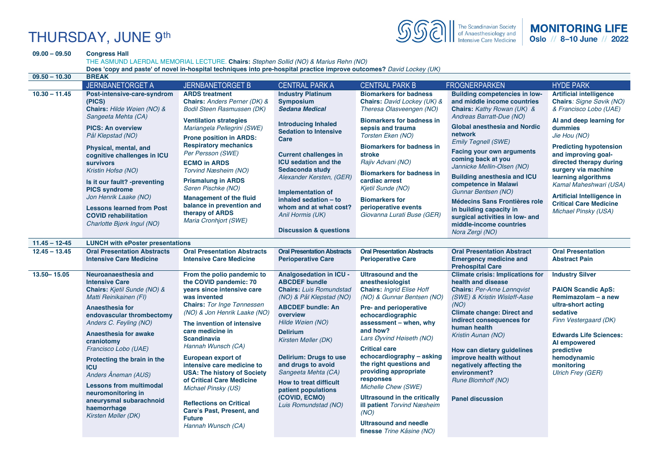# THURSDAY, JUNE 9th

**09.00 – 09.50 Congress Hall** 



|                   | THE ASMUND LAERDAL MEMORIAL LECTURE. Chairs: Stephen Sollid (NO) & Marius Rehn (NO)<br>Does 'copy and paste' of novel in-hospital techniques into pre-hospital practice improve outcomes? David Lockey (UK)                                                                                                                                                                                                                                         |                                                                                                                                                                                                                                                                                                                                                                                                                                                                                                                                  |                                                                                                                                                                                                                                                                                                                                                                                                    |                                                                                                                                                                                                                                                                                                                                                                                                                                                                                                                                 |                                                                                                                                                                                                                                                                                                                                                                                                                                           |                                                                                                                                                                                                                                                                                                       |  |
|-------------------|-----------------------------------------------------------------------------------------------------------------------------------------------------------------------------------------------------------------------------------------------------------------------------------------------------------------------------------------------------------------------------------------------------------------------------------------------------|----------------------------------------------------------------------------------------------------------------------------------------------------------------------------------------------------------------------------------------------------------------------------------------------------------------------------------------------------------------------------------------------------------------------------------------------------------------------------------------------------------------------------------|----------------------------------------------------------------------------------------------------------------------------------------------------------------------------------------------------------------------------------------------------------------------------------------------------------------------------------------------------------------------------------------------------|---------------------------------------------------------------------------------------------------------------------------------------------------------------------------------------------------------------------------------------------------------------------------------------------------------------------------------------------------------------------------------------------------------------------------------------------------------------------------------------------------------------------------------|-------------------------------------------------------------------------------------------------------------------------------------------------------------------------------------------------------------------------------------------------------------------------------------------------------------------------------------------------------------------------------------------------------------------------------------------|-------------------------------------------------------------------------------------------------------------------------------------------------------------------------------------------------------------------------------------------------------------------------------------------------------|--|
| $09.50 - 10.30$   | <b>BREAK</b>                                                                                                                                                                                                                                                                                                                                                                                                                                        |                                                                                                                                                                                                                                                                                                                                                                                                                                                                                                                                  |                                                                                                                                                                                                                                                                                                                                                                                                    |                                                                                                                                                                                                                                                                                                                                                                                                                                                                                                                                 |                                                                                                                                                                                                                                                                                                                                                                                                                                           |                                                                                                                                                                                                                                                                                                       |  |
|                   | <b>JERNBANETORGET A</b>                                                                                                                                                                                                                                                                                                                                                                                                                             | <b>JERNBANETORGET B</b>                                                                                                                                                                                                                                                                                                                                                                                                                                                                                                          | <b>CENTRAL PARK A</b>                                                                                                                                                                                                                                                                                                                                                                              | <b>CENTRAL PARK B</b>                                                                                                                                                                                                                                                                                                                                                                                                                                                                                                           | <b>FROGNERPARKEN</b>                                                                                                                                                                                                                                                                                                                                                                                                                      | <b>HYDE PARK</b>                                                                                                                                                                                                                                                                                      |  |
| $10.30 - 11.45$   | <b>ARDS</b> treatment<br>Post-intensive-care-syndrom<br>(PICS)<br>Chairs: Anders Perner (DK) &<br>Chairs: Hilde Wøien (NO) &<br><b>Bodil Steen Rasmussen (DK)</b>                                                                                                                                                                                                                                                                                   | <b>Industry Platinum</b><br><b>Symposium</b><br><b>Sedana Medical</b>                                                                                                                                                                                                                                                                                                                                                                                                                                                            | <b>Biomarkers for badness</b><br>Chairs: David Lockey (UK) &<br>Theresa Olasveengen (NO)                                                                                                                                                                                                                                                                                                           | <b>Building competencies in low-</b><br>and middle income countries<br>Chairs: Kathy Rowan (UK) &                                                                                                                                                                                                                                                                                                                                                                                                                               | <b>Artificial intelligence</b><br>Chairs: Signe Søvik (NO)<br>& Francisco Lobo (UAE)                                                                                                                                                                                                                                                                                                                                                      |                                                                                                                                                                                                                                                                                                       |  |
|                   | Sangeeta Mehta (CA)<br><b>PICS: An overview</b><br>Pål Klepstad (NO)<br>Physical, mental, and<br>cognitive challenges in ICU<br><b>survivors</b><br>Kristin Hofsø (NO)<br>Is it our fault? -preventing<br><b>PICS syndrome</b><br>Jon Henrik Laake (NO)<br><b>Lessons learned from Post</b><br><b>COVID rehabilitation</b><br>Charlotte Bjørk Ingul (NO)                                                                                            | <b>Ventilation strategies</b><br>Mariangela Pellegrini (SWE)<br><b>Prone position in ARDS:</b><br><b>Respiratory mechanics</b><br>Per Persson (SWE)<br><b>ECMO in ARDS</b><br>Torvind Næsheim (NO)<br><b>Prismalung in ARDS</b><br>Søren Pischke (NO)<br><b>Management of the fluid</b><br>balance in prevention and<br>therapy of ARDS<br>Maria Cronhjort (SWE)                                                                                                                                                                 | <b>Introducing Inhaled</b><br><b>Sedation to Intensive</b><br>Care<br><b>Current challenges in</b><br><b>ICU</b> sedation and the<br>Sedaconda study<br>Alexander Kersten, (GER,<br><b>Implementation of</b><br>inhaled sedation - to<br>whom and at what cost?<br>Anil Hormis (UK)<br><b>Discussion &amp; questions</b>                                                                           | <b>Biomarkers for badness in</b><br>sepsis and trauma<br>Torsten Eken (NO)<br><b>Biomarkers for badness in</b><br>stroke<br>Rajiv Advani (NO)<br><b>Biomarkers for badness in</b><br>cardiac arrest<br>Kjetil Sunde (NO)<br><b>Biomarkers for</b><br>perioperative events<br>Giovanna Lurati Buse (GER)                                                                                                                                                                                                                         | Andreas Barratt-Due (NO)<br><b>Global anesthesia and Nordic</b><br>network<br><b>Emily Tegnell (SWE)</b><br><b>Facing your own arguments</b><br>coming back at you<br>Jannicke Mellin-Olsen (NO)<br><b>Building anesthesia and ICU</b><br>competence in Malawi<br>Gunnar Bentsen (NO)<br><b>Médecins Sans Frontières role</b><br>in building capacity in<br>surgical activities in low- and<br>middle-income countries<br>Nora Zergi (NO) | AI and deep learning for<br>dummies<br>Jie Hou (NO)<br><b>Predicting hypotension</b><br>and improving goal-<br>directed therapy during<br>surgery via machine<br>learning algorithms<br>Kamal Maheshwari (USA)<br>Artificial Intelligence in<br><b>Critical Care Medicine</b><br>Michael Pinsky (USA) |  |
| $11.45 - 12 - 45$ | <b>LUNCH with ePoster presentations</b>                                                                                                                                                                                                                                                                                                                                                                                                             |                                                                                                                                                                                                                                                                                                                                                                                                                                                                                                                                  |                                                                                                                                                                                                                                                                                                                                                                                                    |                                                                                                                                                                                                                                                                                                                                                                                                                                                                                                                                 |                                                                                                                                                                                                                                                                                                                                                                                                                                           |                                                                                                                                                                                                                                                                                                       |  |
| $12.45 - 13.45$   | <b>Oral Presentation Abstracts</b><br><b>Intensive Care Medicine</b>                                                                                                                                                                                                                                                                                                                                                                                | <b>Oral Presentation Abstracts</b><br><b>Intensive Care Medicine</b>                                                                                                                                                                                                                                                                                                                                                                                                                                                             | <b>Oral Presentation Abstracts</b><br><b>Perioperative Care</b>                                                                                                                                                                                                                                                                                                                                    | <b>Oral Presentation Abstracts</b><br><b>Perioperative Care</b>                                                                                                                                                                                                                                                                                                                                                                                                                                                                 | <b>Oral Presentation Abstract</b><br><b>Emergency medicine and</b><br><b>Prehospital Care</b>                                                                                                                                                                                                                                                                                                                                             | <b>Oral Presentation</b><br><b>Abstract Pain</b>                                                                                                                                                                                                                                                      |  |
| 13.50 - 15.05     | Neuroanaesthesia and<br><b>Intensive Care</b><br>Chairs: Kjetil Sunde (NO) &<br>Matti Reinikainen (FI)<br>Anaesthesia for<br>endovascular thrombectomy<br>Anders C. Feyling (NO)<br><b>Anaesthesia for awake</b><br>craniotomy<br>Francisco Lobo (UAE)<br>Protecting the brain in the<br><b>ICU</b><br>Anders Åneman (AUS)<br><b>Lessons from multimodal</b><br>neuromonitoring in<br>aneurysmal subarachnoid<br>haemorrhage<br>Kirsten Møller (DK) | From the polio pandemic to<br>the COVID pandemic: 70<br>years since intensive care<br>was invented<br><b>Chairs: Tor Inge Tønnessen</b><br>(NO) & Jon Henrik Laake (NO)<br>The invention of intensive<br>care medicine in<br><b>Scandinavia</b><br>Hannah Wunsch (CA)<br><b>European export of</b><br>intensive care medicine to<br><b>USA: The history of Society</b><br>of Critical Care Medicine<br>Michael Pinsky (US)<br><b>Reflections on Critical</b><br>Care's Past, Present, and<br><b>Future</b><br>Hannah Wunsch (CA) | <b>Analgosedation in ICU -</b><br><b>ABCDEF bundle</b><br><b>Chairs: Luis Romundstad</b><br>(NO) & Pål Klepstad (NO)<br><b>ABCDEF bundle: An</b><br>overview<br>Hilde Wøien (NO)<br><b>Delirium</b><br>Kirsten Møller (DK)<br><b>Delirium: Drugs to use</b><br>and drugs to avoid<br>Sangeeta Mehta (CA)<br>How to treat difficult<br>patient populations<br>(COVID, ECMO)<br>Luis Romundstad (NO) | <b>Ultrasound and the</b><br>anesthesiologist<br><b>Chairs: Ingrid Elise Hoff</b><br>(NO) & Gunnar Bentsen (NO)<br>Pre- and perioperative<br>echocardiographic<br>assessment - when, why<br>and how?<br>Lars Øyvind Høiseth (NO)<br><b>Critical care</b><br>echocardiography - asking<br>the right questions and<br>providing appropriate<br>responses<br>Michelle Chew (SWE)<br><b>Ultrasound in the critically</b><br><b>ill patient</b> Torvind Næsheim<br>(NO)<br><b>Ultrasound and needle</b><br>finesse Trine Kåsine (NO) | <b>Climate crisis: Implications for</b><br>health and disease<br><b>Chairs: Per-Arne Lønnqvist</b><br>(SWE) & Kristin Wisløff-Aase<br>(NO)<br><b>Climate change: Direct and</b><br>indirect consequences for<br>human health<br>Kristin Aunan (NO)<br>How can dietary guidelines<br>improve health without<br>negatively affecting the<br>environment?<br>Rune Blomhoff (NO)<br><b>Panel discussion</b>                                   | <b>Industry Silver</b><br><b>PAION Scandic ApS:</b><br>Remimazolam - a new<br>ultra-short acting<br>sedative<br>Finn Vestergaard (DK)<br><b>Edwards Life Sciences:</b><br>Al empowered<br>predictive<br>hemodynamic<br>monitoring<br><b>Ulrich Frey (GER)</b>                                         |  |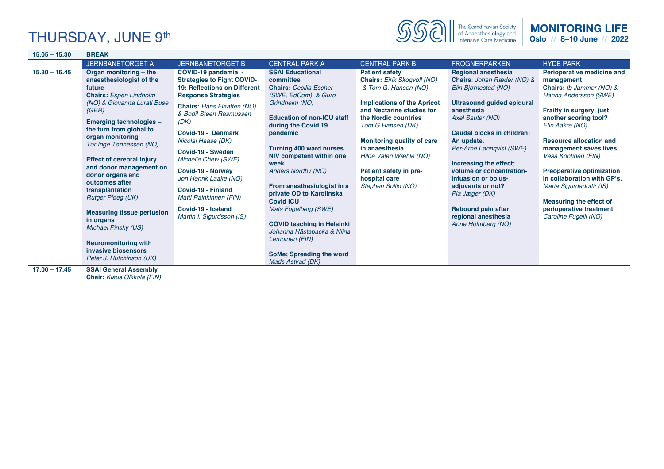# THURSDAY, JUNE 9th



#### **MONITORING LIFE** Oslo // 8-10 June // 2022

| $15.05 - 15.30$                    | <b>BREAK</b>                                                                                                                                                                                                                                                                                                                                                                                                                                                                                                                                                                              |                                                                                                                                                                                                                                                                                                                                                                                                                                         |                                                                                                                                                                                                                                                                                                                                                                                                                                                                                                                                      |                                                                                                                                                                                                                                                                                                                                                 |                                                                                                                                                                                                                                                                                                                                                                                                                               |                                                                                                                                                                                                                                                                                                                                                                                                                                                       |
|------------------------------------|-------------------------------------------------------------------------------------------------------------------------------------------------------------------------------------------------------------------------------------------------------------------------------------------------------------------------------------------------------------------------------------------------------------------------------------------------------------------------------------------------------------------------------------------------------------------------------------------|-----------------------------------------------------------------------------------------------------------------------------------------------------------------------------------------------------------------------------------------------------------------------------------------------------------------------------------------------------------------------------------------------------------------------------------------|--------------------------------------------------------------------------------------------------------------------------------------------------------------------------------------------------------------------------------------------------------------------------------------------------------------------------------------------------------------------------------------------------------------------------------------------------------------------------------------------------------------------------------------|-------------------------------------------------------------------------------------------------------------------------------------------------------------------------------------------------------------------------------------------------------------------------------------------------------------------------------------------------|-------------------------------------------------------------------------------------------------------------------------------------------------------------------------------------------------------------------------------------------------------------------------------------------------------------------------------------------------------------------------------------------------------------------------------|-------------------------------------------------------------------------------------------------------------------------------------------------------------------------------------------------------------------------------------------------------------------------------------------------------------------------------------------------------------------------------------------------------------------------------------------------------|
|                                    | <b>JERNBANETORGET A</b>                                                                                                                                                                                                                                                                                                                                                                                                                                                                                                                                                                   | <b>JERNBANETORGET B</b>                                                                                                                                                                                                                                                                                                                                                                                                                 | <b>CENTRAL PARK A</b>                                                                                                                                                                                                                                                                                                                                                                                                                                                                                                                | <b>CENTRAL PARK B</b>                                                                                                                                                                                                                                                                                                                           | <b>FROGNERPARKEN</b>                                                                                                                                                                                                                                                                                                                                                                                                          | <b>HYDE PARK</b>                                                                                                                                                                                                                                                                                                                                                                                                                                      |
| $15.30 - 16.45$<br>$17.00 - 17.45$ | Organ monitoring - the<br>anaesthesiologist of the<br>future<br><b>Chairs:</b> Espen Lindholm<br>(NO) & Giovanna Lurati Buse<br>(GER)<br>Emerging technologies -<br>the turn from global to<br>organ monitoring<br>Tor Inge Tønnessen (NO)<br><b>Effect of cerebral injury</b><br>and donor management on<br>donor organs and<br>outcomes after<br>transplantation<br><b>Rutger Ploeg (UK)</b><br><b>Measuring tissue perfusion</b><br>in organs<br>Michael Pinsky (US)<br><b>Neuromonitoring with</b><br>invasive biosensors<br>Peter J. Hutchinson (UK)<br><b>SSAI General Assembly</b> | COVID-19 pandemia -<br><b>Strategies to Fight COVID-</b><br>19: Reflections on Different<br><b>Response Strategies</b><br><b>Chairs: Hans Flaatten (NO)</b><br>& Bodil Steen Rasmussen<br>(DK)<br>Covid-19 - Denmark<br>Nicolai Haase (DK)<br>Covid-19 - Sweden<br>Michelle Chew (SWE)<br>Covid-19 - Norway<br>Jon Henrik Laake (NO)<br>Covid-19 - Finland<br>Matti Rainkinnen (FIN)<br>Covid-19 - Iceland<br>Martin I. Sigurdsson (IS) | <b>SSAI Educational</b><br>committee<br><b>Chairs: Cecilia Escher</b><br>(SWE, EdCom) & Guro<br>Grindheim (NO)<br><b>Education of non-ICU staff</b><br>during the Covid 19<br>pandemic<br><b>Turning 400 ward nurses</b><br>NIV competent within one<br>week<br><b>Anders Nordby (NO)</b><br>From anesthesiologist in a<br>private OD to Karolinska<br><b>Covid ICU</b><br>Mats Fogelberg (SWE)<br><b>COVID teaching in Helsinki</b><br>Johanna Hästabacka & Niina<br>Lempinen (FIN)<br>SoMe; Spreading the word<br>Mads Astvad (DK) | <b>Patient safety</b><br>Chairs: Eirik Skogvoll (NO)<br>& Tom G. Hansen (NO)<br><b>Implications of the Apricot</b><br>and Nectarine studies for<br>the Nordic countries<br>Tom G Hansen (DK)<br><b>Monitoring quality of care</b><br>in anaesthesia<br>Hilde Valen Wæhle (NO)<br>Patient safety in pre-<br>hospital care<br>Stephen Sollid (NO) | <b>Regional anesthesia</b><br>Chairs: Johan Ræder (NO) &<br>Elin Bjørnestad (NO)<br><b>Ultrasound guided epidural</b><br>anesthesia<br>Axel Sauter (NO)<br>Caudal blocks in children:<br>An update.<br>Per-Arne Lønnqvist (SWE)<br>Increasing the effect;<br>volume or concentration-<br>infuasion or bolus-<br>adjuvants or not?<br>Pia Jæger (DK)<br><b>Rebound pain after</b><br>regional anesthesia<br>Anne Holmberg (NO) | Perioperative medicine and<br>management<br><b>Chairs:</b> Ib Jammer (NO) &<br>Hanna Andersson (SWE)<br>Frailty in surgery, just<br>another scoring tool?<br>Elin Aakre (NO)<br><b>Resource allocation and</b><br>management saves lives.<br>Vesa Kontinen (FIN)<br><b>Preoperative optimization</b><br>in collaboration with GP's.<br>Maria Sigurdadottir (IS)<br><b>Measuring the effect of</b><br>perioperative treatment<br>Caroline Fugelli (NO) |
|                                    | Chair: Klaus Olkkola (FIN)                                                                                                                                                                                                                                                                                                                                                                                                                                                                                                                                                                |                                                                                                                                                                                                                                                                                                                                                                                                                                         |                                                                                                                                                                                                                                                                                                                                                                                                                                                                                                                                      |                                                                                                                                                                                                                                                                                                                                                 |                                                                                                                                                                                                                                                                                                                                                                                                                               |                                                                                                                                                                                                                                                                                                                                                                                                                                                       |